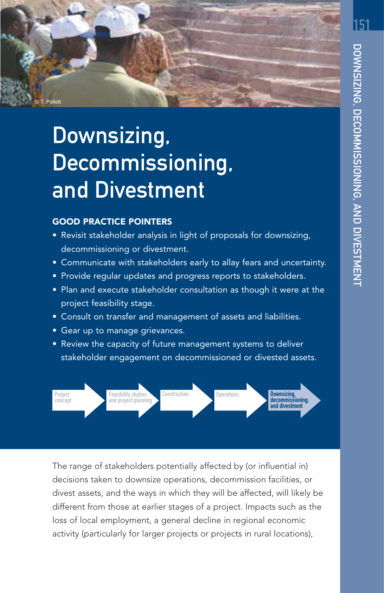

# Downsizing, Decommissioning, and Divestment

## GOOD PRACTICE POINTERS

- Revisit stakeholder analysis in light of proposals for downsizing, decommissioning or divestment.
- Communicate with stakeholders early to allay fears and uncertainty.
- Provide regular updates and progress reports to stakeholders.
- Plan and execute stakeholder consultation as though it were at the project feasibility stage.
- Consult on transfer and management of assets and liabilities.
- Gear up to manage grievances.
- Review the capacity of future management systems to deliver stakeholder engagement on decommissioned or divested assets.



The range of stakeholders potentially affected by (or influential in) decisions taken to downsize operations, decommission facilities, or divest assets, and the ways in which they will be affected, will likely be different from those at earlier stages of a project. Impacts such as the loss of local employment, a general decline in regional economic activity (particularly for larger projects or projects in rural locations),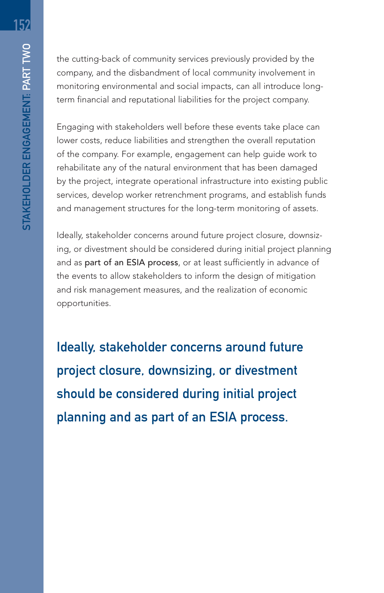the cutting-back of community services previously provided by the company, and the disbandment of local community involvement in monitoring environmental and social impacts, can all introduce longterm financial and reputational liabilities for the project company.

Engaging with stakeholders well before these events take place can lower costs, reduce liabilities and strengthen the overall reputation of the company. For example, engagement can help guide work to rehabilitate any of the natural environment that has been damaged by the project, integrate operational infrastructure into existing public services, develop worker retrenchment programs, and establish funds and management structures for the long-term monitoring of assets.

Ideally, stakeholder concerns around future project closure, downsizing, or divestment should be considered during initial project planning and as part of an ESIA process, or at least sufficiently in advance of the events to allow stakeholders to inform the design of mitigation and risk management measures, and the realization of economic opportunities.

Ideally, stakeholder concerns around future project closure, downsizing, or divestment should be considered during initial project planning and as part of an ESIA process.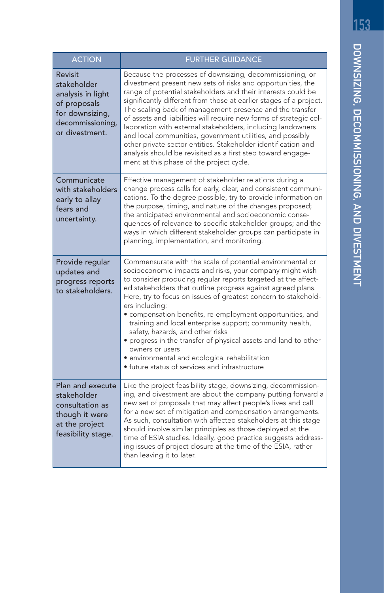| <b>ACTION</b>                                                                                                        | <b>FURTHER GUIDANCE</b>                                                                                                                                                                                                                                                                                                                                                                                                                                                                                                                                                                                                                                                                                 |
|----------------------------------------------------------------------------------------------------------------------|---------------------------------------------------------------------------------------------------------------------------------------------------------------------------------------------------------------------------------------------------------------------------------------------------------------------------------------------------------------------------------------------------------------------------------------------------------------------------------------------------------------------------------------------------------------------------------------------------------------------------------------------------------------------------------------------------------|
| Revisit<br>stakeholder<br>analysis in light<br>of proposals<br>for downsizing,<br>decommissioning,<br>or divestment. | Because the processes of downsizing, decommissioning, or<br>divestment present new sets of risks and opportunities, the<br>range of potential stakeholders and their interests could be<br>significantly different from those at earlier stages of a project.<br>The scaling back of management presence and the transfer<br>of assets and liabilities will require new forms of strategic col-<br>laboration with external stakeholders, including landowners<br>and local communities, government utilities, and possibly<br>other private sector entities. Stakeholder identification and<br>analysis should be revisited as a first step toward engage-<br>ment at this phase of the project cycle. |
| Communicate<br>with stakeholders<br>early to allay<br>fears and<br>uncertainty.                                      | Effective management of stakeholder relations during a<br>change process calls for early, clear, and consistent communi-<br>cations. To the degree possible, try to provide information on<br>the purpose, timing, and nature of the changes proposed;<br>the anticipated environmental and socioeconomic conse-<br>quences of relevance to specific stakeholder groups; and the<br>ways in which different stakeholder groups can participate in<br>planning, implementation, and monitoring.                                                                                                                                                                                                          |
| Provide regular<br>updates and<br>progress reports<br>to stakeholders.                                               | Commensurate with the scale of potential environmental or<br>socioeconomic impacts and risks, your company might wish<br>to consider producing regular reports targeted at the affect-<br>ed stakeholders that outline progress against agreed plans.<br>Here, try to focus on issues of greatest concern to stakehold-<br>ers including:<br>· compensation benefits, re-employment opportunities, and<br>training and local enterprise support; community health,<br>safety, hazards, and other risks<br>· progress in the transfer of physical assets and land to other<br>owners or users<br>· environmental and ecological rehabilitation<br>• future status of services and infrastructure         |
| Plan and execute<br>stakeholder<br>consultation as<br>though it were<br>at the project<br>feasibility stage.         | Like the project feasibility stage, downsizing, decommission-<br>ing, and divestment are about the company putting forward a<br>new set of proposals that may affect people's lives and call<br>for a new set of mitigation and compensation arrangements.<br>As such, consultation with affected stakeholders at this stage<br>should involve similar principles as those deployed at the<br>time of ESIA studies. Ideally, good practice suggests address-<br>ing issues of project closure at the time of the ESIA, rather<br>than leaving it to later.                                                                                                                                              |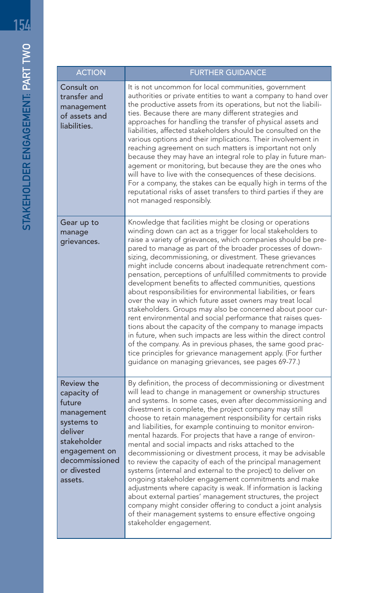| <b>ACTION</b>                                                                                                                                          | <b>FURTHER GUIDANCE</b>                                                                                                                                                                                                                                                                                                                                                                                                                                                                                                                                                                                                                                                                                                                                                                                                                                                                                                                                                                                                                                                                   |
|--------------------------------------------------------------------------------------------------------------------------------------------------------|-------------------------------------------------------------------------------------------------------------------------------------------------------------------------------------------------------------------------------------------------------------------------------------------------------------------------------------------------------------------------------------------------------------------------------------------------------------------------------------------------------------------------------------------------------------------------------------------------------------------------------------------------------------------------------------------------------------------------------------------------------------------------------------------------------------------------------------------------------------------------------------------------------------------------------------------------------------------------------------------------------------------------------------------------------------------------------------------|
| Consult on<br>transfer and<br>management<br>of assets and<br>liabilities.                                                                              | It is not uncommon for local communities, government<br>authorities or private entities to want a company to hand over<br>the productive assets from its operations, but not the liabili-<br>ties. Because there are many different strategies and<br>approaches for handling the transfer of physical assets and<br>liabilities, affected stakeholders should be consulted on the<br>various options and their implications. Their involvement in<br>reaching agreement on such matters is important not only<br>because they may have an integral role to play in future man-<br>agement or monitoring, but because they are the ones who<br>will have to live with the consequences of these decisions.<br>For a company, the stakes can be equally high in terms of the<br>reputational risks of asset transfers to third parties if they are<br>not managed responsibly.                                                                                                                                                                                                             |
| Gear up to<br>manage<br>grievances.                                                                                                                    | Knowledge that facilities might be closing or operations<br>winding down can act as a trigger for local stakeholders to<br>raise a variety of grievances, which companies should be pre-<br>pared to manage as part of the broader processes of down-<br>sizing, decommissioning, or divestment. These grievances<br>might include concerns about inadequate retrenchment com-<br>pensation, perceptions of unfulfilled commitments to provide<br>development benefits to affected communities, questions<br>about responsibilities for environmental liabilities, or fears<br>over the way in which future asset owners may treat local<br>stakeholders. Groups may also be concerned about poor cur-<br>rent environmental and social performance that raises ques-<br>tions about the capacity of the company to manage impacts<br>in future, when such impacts are less within the direct control<br>of the company. As in previous phases, the same good prac-<br>tice principles for grievance management apply. (For further<br>quidance on managing grievances, see pages 69-77.) |
| Review the<br>capacity of<br>future<br>management<br>systems to<br>deliver<br>stakeholder<br>engagement on<br>decommissioned<br>or divested<br>assets. | By definition, the process of decommissioning or divestment<br>will lead to change in management or ownership structures<br>and systems. In some cases, even after decommissioning and<br>divestment is complete, the project company may still<br>choose to retain management responsibility for certain risks<br>and liabilities, for example continuing to monitor environ-<br>mental hazards. For projects that have a range of environ-<br>mental and social impacts and risks attached to the<br>decommissioning or divestment process, it may be advisable<br>to review the capacity of each of the principal management<br>systems (internal and external to the project) to deliver on<br>ongoing stakeholder engagement commitments and make<br>adjustments where capacity is weak. If information is lacking<br>about external parties' management structures, the project<br>company might consider offering to conduct a joint analysis<br>of their management systems to ensure effective ongoing<br>stakeholder engagement.                                                |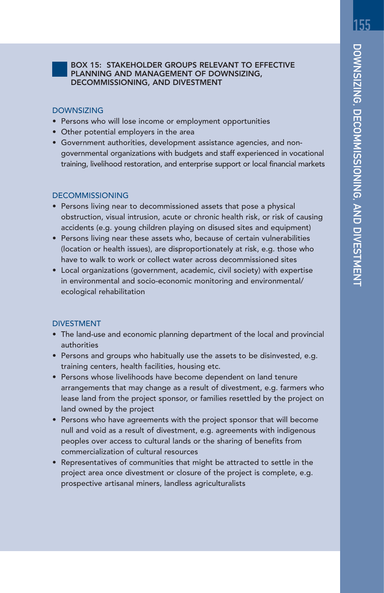#### BOX 15: STAKEHOLDER GROUPS RELEVANT TO EFFECTIVE PLANNING AND MANAGEMENT OF DOWNSIZING, DECOMMISSIONING, AND DIVESTMENT

#### DOWNSIZING

- Persons who will lose income or employment opportunities
- Other potential employers in the area
- Government authorities, development assistance agencies, and nongovernmental organizations with budgets and staff experienced in vocational training, livelihood restoration, and enterprise support or local financial markets

#### DECOMMISSIONING

- Persons living near to decommissioned assets that pose a physical obstruction, visual intrusion, acute or chronic health risk, or risk of causing accidents (e.g. young children playing on disused sites and equipment)
- Persons living near these assets who, because of certain vulnerabilities (location or health issues), are disproportionately at risk, e.g. those who have to walk to work or collect water across decommissioned sites
- Local organizations (government, academic, civil society) with expertise in environmental and socio-economic monitoring and environmental/ ecological rehabilitation

#### DIVESTMENT

- The land-use and economic planning department of the local and provincial authorities
- Persons and groups who habitually use the assets to be disinvested, e.g. training centers, health facilities, housing etc.
- Persons whose livelihoods have become dependent on land tenure arrangements that may change as a result of divestment, e.g. farmers who lease land from the project sponsor, or families resettled by the project on land owned by the project
- Persons who have agreements with the project sponsor that will become null and void as a result of divestment, e.g. agreements with indigenous peoples over access to cultural lands or the sharing of benefits from commercialization of cultural resources
- Representatives of communities that might be attracted to settle in the project area once divestment or closure of the project is complete, e.g. prospective artisanal miners, landless agriculturalists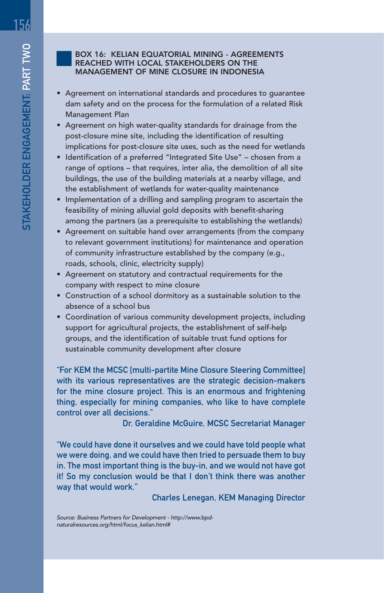#### BOX 16: KELIAN EQUATORIAL MINING - AGREEMENTS REACHED WITH LOCAL STAKEHOLDERS ON THE MANAGEMENT OF MINE CLOSURE IN INDONESIA

- Agreement on international standards and procedures to guarantee dam safety and on the process for the formulation of a related Risk Management Plan
- Agreement on high water-quality standards for drainage from the post-closure mine site, including the identification of resulting implications for post-closure site uses, such as the need for wetlands
- Identification of a preferred "Integrated Site Use" chosen from a range of options – that requires, inter alia, the demolition of all site buildings, the use of the building materials at a nearby village, and the establishment of wetlands for water-quality maintenance
- Implementation of a drilling and sampling program to ascertain the feasibility of mining alluvial gold deposits with benefit-sharing among the partners (as a prerequisite to establishing the wetlands)
- Agreement on suitable hand over arrangements (from the company to relevant government institutions) for maintenance and operation of community infrastructure established by the company (e.g., roads, schools, clinic, electricity supply)
- Agreement on statutory and contractual requirements for the company with respect to mine closure
- Construction of a school dormitory as a sustainable solution to the absence of a school bus
- Coordination of various community development projects, including support for agricultural projects, the establishment of self-help groups, and the identification of suitable trust fund options for sustainable community development after closure

"For KEM the MCSC [multi-partite Mine Closure Steering Committee] with its various representatives are the strategic decision-makers for the mine closure project. This is an enormous and frightening thing, especially for mining companies, who like to have complete control over all decisions."

Dr. Geraldine McGuire, MCSC Secretariat Manager

"We could have done it ourselves and we could have told people what we were doing, and we could have then tried to persuade them to buy in. The most important thing is the buy-in, and we would not have got it! So my conclusion would be that I don't think there was another way that would work."

Charles Lenegan, KEM Managing Director

Source: Business Partners for Development - http://www.bpdnaturalresources.org/html/focus\_kelian.html#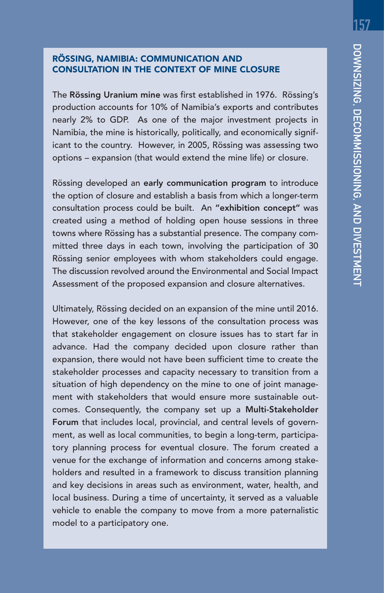### RÖSSING, NAMIBIA: COMMUNICATION AND CONSULTATION IN THE CONTEXT OF MINE CLOSURE

The Rössing Uranium mine was first established in 1976. Rössing's production accounts for 10% of Namibia's exports and contributes nearly 2% to GDP. As one of the major investment projects in Namibia, the mine is historically, politically, and economically significant to the country. However, in 2005, Rössing was assessing two options – expansion (that would extend the mine life) or closure.

Rössing developed an early communication program to introduce the option of closure and establish a basis from which a longer-term consultation process could be built. An "exhibition concept" was created using a method of holding open house sessions in three towns where Rössing has a substantial presence. The company committed three days in each town, involving the participation of 30 Rössing senior employees with whom stakeholders could engage. The discussion revolved around the Environmental and Social Impact Assessment of the proposed expansion and closure alternatives.

Ultimately, Rössing decided on an expansion of the mine until 2016. However, one of the key lessons of the consultation process was that stakeholder engagement on closure issues has to start far in advance. Had the company decided upon closure rather than expansion, there would not have been sufficient time to create the stakeholder processes and capacity necessary to transition from a situation of high dependency on the mine to one of joint management with stakeholders that would ensure more sustainable outcomes. Consequently, the company set up a Multi-Stakeholder Forum that includes local, provincial, and central levels of government, as well as local communities, to begin a long-term, participatory planning process for eventual closure. The forum created a venue for the exchange of information and concerns among stakeholders and resulted in a framework to discuss transition planning and key decisions in areas such as environment, water, health, and local business. During a time of uncertainty, it served as a valuable vehicle to enable the company to move from a more paternalistic model to a participatory one.